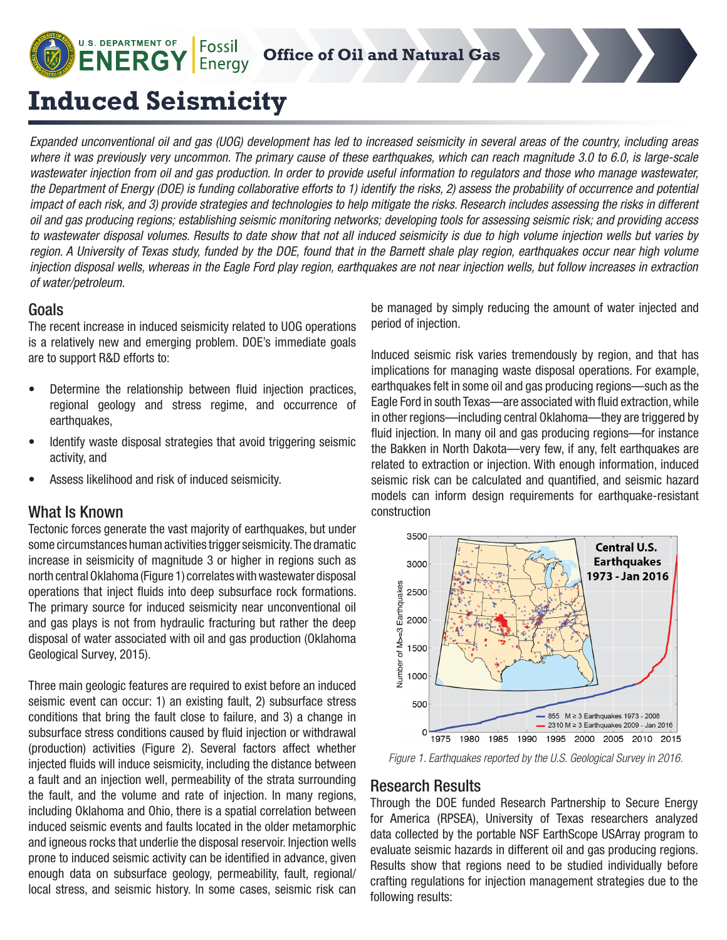Fossil **Office of Oil and Natural Gas** Energy

# **Induced Seismicity**

**U.S. DEPARTMENT OF** 

**ENERGY** 

*Expanded unconventional oil and gas (UOG) development has led to increased seismicity in several areas of the country, including areas where it was previously very uncommon. The primary cause of these earthquakes, which can reach magnitude 3.0 to 6.0, is large-scale wastewater injection from oil and gas production. In order to provide useful information to regulators and those who manage wastewater, the Department of Energy (DOE) is funding collaborative efforts to 1) identify the risks, 2) assess the probability of occurrence and potential impact of each risk, and 3) provide strategies and technologies to help mitigate the risks. Research includes assessing the risks in different oil and gas producing regions; establishing seismic monitoring networks; developing tools for assessing seismic risk; and providing access to wastewater disposal volumes. Results to date show that not all induced seismicity is due to high volume injection wells but varies by region. A University of Texas study, funded by the DOE, found that in the Barnett shale play region, earthquakes occur near high volume injection disposal wells, whereas in the Eagle Ford play region, earthquakes are not near injection wells, but follow increases in extraction of water/petroleum.* 

### **Goals**

The recent increase in induced seismicity related to UOG operations is a relatively new and emerging problem. DOE's immediate goals are to support R&D efforts to:

- Determine the relationship between fluid injection practices, regional geology and stress regime, and occurrence of earthquakes,
- Identify waste disposal strategies that avoid triggering seismic activity, and
- Assess likelihood and risk of induced seismicity.

#### What Is Known

Tectonic forces generate the vast majority of earthquakes, but under some circumstances human activities trigger seismicity. The dramatic increase in seismicity of magnitude 3 or higher in regions such as north central Oklahoma (Figure 1) correlates with wastewater disposal operations that inject fluids into deep subsurface rock formations. The primary source for induced seismicity near unconventional oil and gas plays is not from hydraulic fracturing but rather the deep disposal of water associated with oil and gas production (Oklahoma Geological Survey, 2015).

Three main geologic features are required to exist before an induced seismic event can occur: 1) an existing fault, 2) subsurface stress conditions that bring the fault close to failure, and 3) a change in subsurface stress conditions caused by fluid injection or withdrawal (production) activities (Figure 2). Several factors affect whether injected fluids will induce seismicity, including the distance between a fault and an injection well, permeability of the strata surrounding the fault, and the volume and rate of injection. In many regions, including Oklahoma and Ohio, there is a spatial correlation between induced seismic events and faults located in the older metamorphic and igneous rocks that underlie the disposal reservoir. Injection wells prone to induced seismic activity can be identified in advance, given enough data on subsurface geology, permeability, fault, regional/ local stress, and seismic history. In some cases, seismic risk can

be managed by simply reducing the amount of water injected and period of injection.

Induced seismic risk varies tremendously by region, and that has implications for managing waste disposal operations. For example, earthquakes felt in some oil and gas producing regions—such as the Eagle Ford in south Texas—are associated with fluid extraction, while in other regions—including central Oklahoma—they are triggered by fluid injection. In many oil and gas producing regions—for instance the Bakken in North Dakota—very few, if any, felt earthquakes are related to extraction or injection. With enough information, induced seismic risk can be calculated and quantified, and seismic hazard models can inform design requirements for earthquake-resistant construction



*Figure 1. Earthquakes reported by the U.S. Geological Survey in 2016.*

#### Research Results

Through the DOE funded Research Partnership to Secure Energy for America (RPSEA), University of Texas researchers analyzed data collected by the portable NSF EarthScope USArray program to evaluate seismic hazards in different oil and gas producing regions. Results show that regions need to be studied individually before crafting regulations for injection management strategies due to the following results: